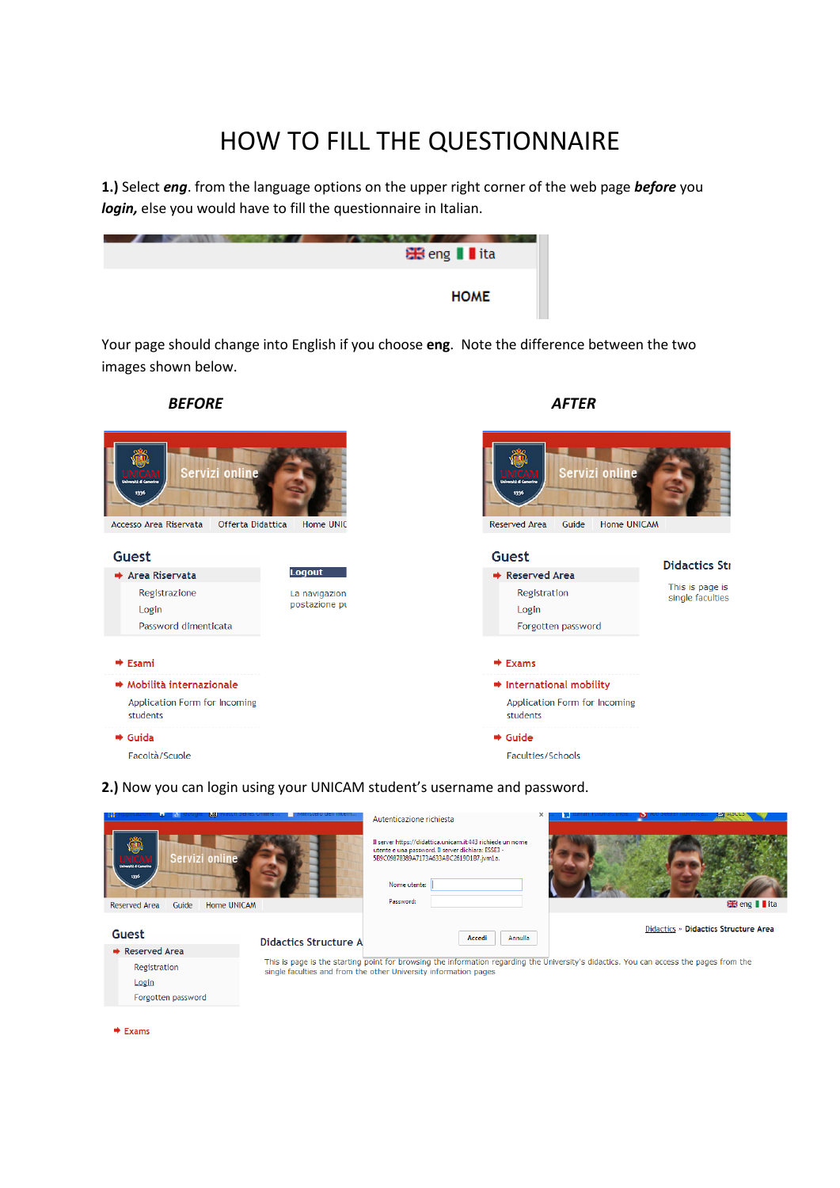# HOW TO FILL THE QUESTIONNAIRE

**1.)** Select *eng*. from the language options on the upper right corner of the web page *before* you *login,* else you would have to fill the questionnaire in Italian.

| <b>BB</b> eng II ita |  |
|----------------------|--|
| <b>HOME</b>          |  |

Your page should change into English if you choose **eng**. Note the difference between the two images shown below.



# **2.)** Now you can login using your UNICAM student's username and password.



 $\triangleq$  Exams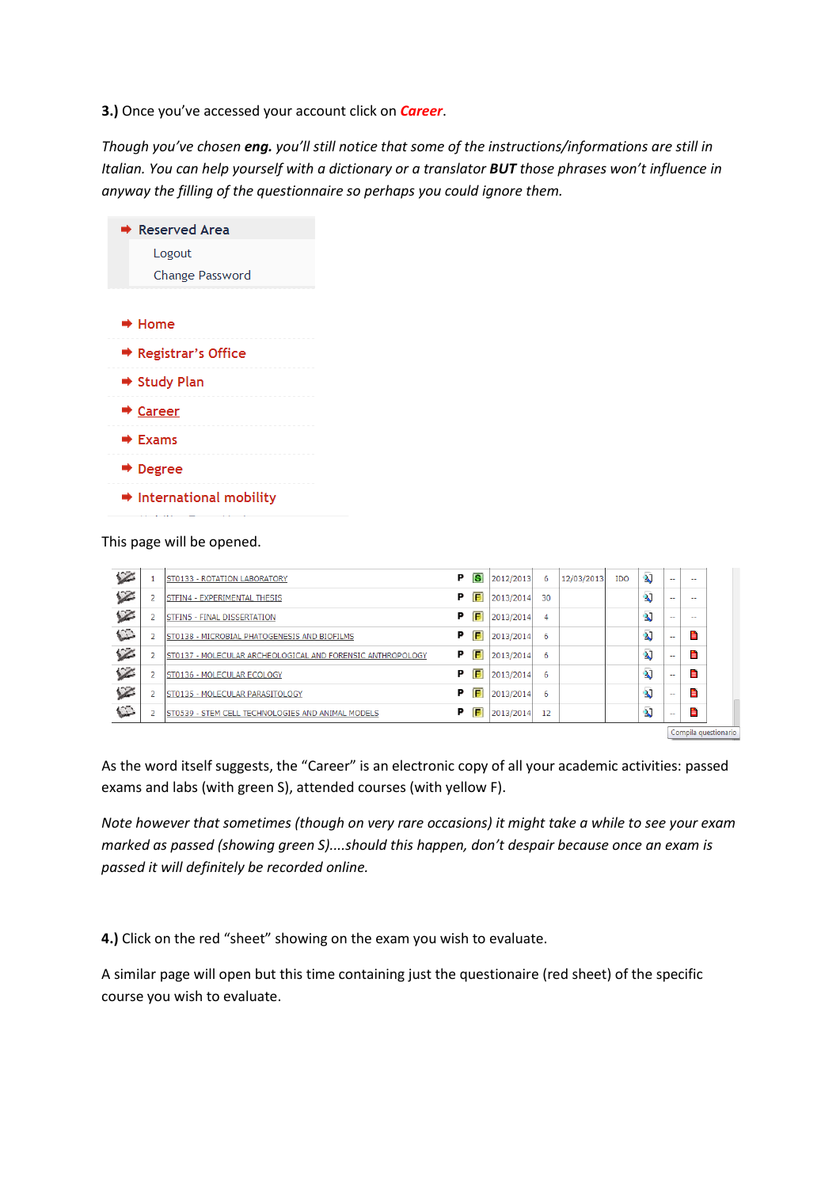**3.)** Once you've accessed your account click on *Career*.

*Though you've chosen eng. you'll still notice that some of the instructions/informations are still in Italian. You can help yourself with a dictionary or a translator BUT those phrases won't influence in anyway the filling of the questionnaire so perhaps you could ignore them.*



This page will be opened.

| $\epsilon$               |                | ST0133 - ROTATION LABORATORY                                | P | G | 2012/2013 | 6  | 12/03/2013 | <b>IDO</b> | $\mathbf{a}$            | $\sim$                   | --   |                      |
|--------------------------|----------------|-------------------------------------------------------------|---|---|-----------|----|------------|------------|-------------------------|--------------------------|------|----------------------|
| $\epsilon$               | 2              | STFIN4 - EXPERIMENTAL THESIS                                | Р | F | 2013/2014 | 30 |            |            | <sup>2</sup>            | $\sim$ $\sim$            | --   |                      |
| $\overline{\mathscr{L}}$ | $\overline{2}$ | STFIN5 - FINAL DISSERTATION                                 | Р | E | 2013/2014 | 4  |            |            | <sup>2</sup>            | $\sim$ $\sim$            | $-1$ |                      |
| $\sum$                   | $\overline{2}$ | ST0138 - MICROBIAL PHATOGENESIS AND BIOFILMS                | Р | E | 2013/2014 | 6  |            |            | <sup>2</sup>            | $\overline{\phantom{a}}$ | Ξ    |                      |
| $\angle$                 | 2              | IST0137 - MOLECULAR ARCHEOLOGICAL AND FORENSIC ANTHROPOLOGY | Р | E | 2013/2014 | 6  |            |            | $\overline{\mathbf{2}}$ | $\sim$                   | Ë    |                      |
| $\epsilon$               | 2              | ST0136 - MOLECULAR ECOLOGY                                  | P | E | 2013/2014 | 6  |            |            | $\overline{\mathbf{2}}$ | $\sim$                   | Е    |                      |
| $\epsilon$               | 2              | ST0135 - MOLECULAR PARASITOLOGY                             | P | E | 2013/2014 | 6  |            |            | $\overline{\mathbf{2}}$ | $\sim$                   | Е    |                      |
| $\mathbb{C}$             |                | ST0539 - STEM CELL TECHNOLOGIES AND ANIMAL MODELS           | P | E | 2013/2014 | 12 |            |            | $\overline{\mathbf{2}}$ | $\sim$                   | Е    |                      |
|                          |                |                                                             |   |   |           |    |            |            |                         |                          |      | Compila questionario |

As the word itself suggests, the "Career" is an electronic copy of all your academic activities: passed exams and labs (with green S), attended courses (with yellow F).

*Note however that sometimes (though on very rare occasions) it might take a while to see your exam marked as passed (showing green S)....should this happen, don't despair because once an exam is passed it will definitely be recorded online.*

**4.)** Click on the red "sheet" showing on the exam you wish to evaluate.

A similar page will open but this time containing just the questionaire (red sheet) of the specific course you wish to evaluate.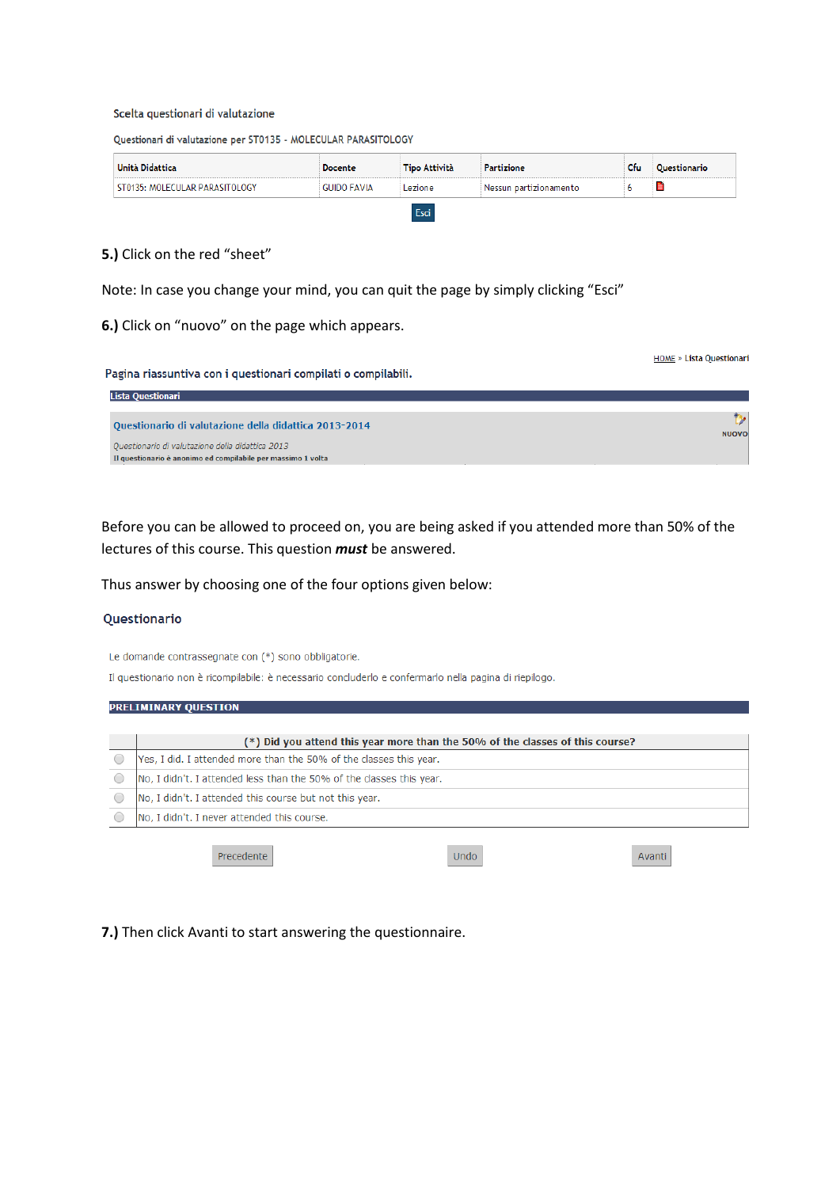#### Scelta questionari di valutazione

Questionari di valutazione per ST0135 - MOLECULAR PARASITOLOGY

| Unità Didattica                | <b>Docente</b>     | <b>Tipo Attività</b> | Partizione             | Cfu | Questionario |
|--------------------------------|--------------------|----------------------|------------------------|-----|--------------|
| ST0135: MOLECULAR PARASITOLOGY | <b>GUIDO FAVIA</b> | Lezione              | Nessun partizionamento |     | $\equiv$     |
|                                |                    | Fsci                 |                        |     |              |

### **5.)** Click on the red "sheet"

Note: In case you change your mind, you can quit the page by simply clicking "Esci"

## **6.)** Click on "nuovo" on the page which appears.

**HOME** » Lista Questionari

| Pagina riassuntiva con i questionari compilati o compilabili. |  |  |  |
|---------------------------------------------------------------|--|--|--|
|                                                               |  |  |  |

| Lista Questionari                                                                                                |              |
|------------------------------------------------------------------------------------------------------------------|--------------|
| Questionario di valutazione della didattica 2013-2014                                                            | <b>NUOVO</b> |
| Ouestionario di valutazione della didattica 2013<br>Il questionario è anonimo ed compilabile per massimo 1 volta |              |

Before you can be allowed to proceed on, you are being asked if you attended more than 50% of the lectures of this course. This question *must* be answered.

Thus answer by choosing one of the four options given below:

#### Questionario

Le domande contrassegnate con (\*) sono obbligatorie.

Il questionario non è ricompilabile: è necessario concluderlo e confermarlo nella pagina di riepilogo.

| <b>PRELIMINARY QUESTION</b>                                                   |      |        |
|-------------------------------------------------------------------------------|------|--------|
|                                                                               |      |        |
| (*) Did you attend this year more than the 50% of the classes of this course? |      |        |
| Yes, I did. I attended more than the 50% of the classes this year.            |      |        |
| No, I didn't. I attended less than the 50% of the classes this year.          |      |        |
| No, I didn't. I attended this course but not this year.                       |      |        |
| No, I didn't. I never attended this course.                                   |      |        |
|                                                                               |      |        |
| Precedente                                                                    | Undo | Avanti |

**7.)** Then click Avanti to start answering the questionnaire.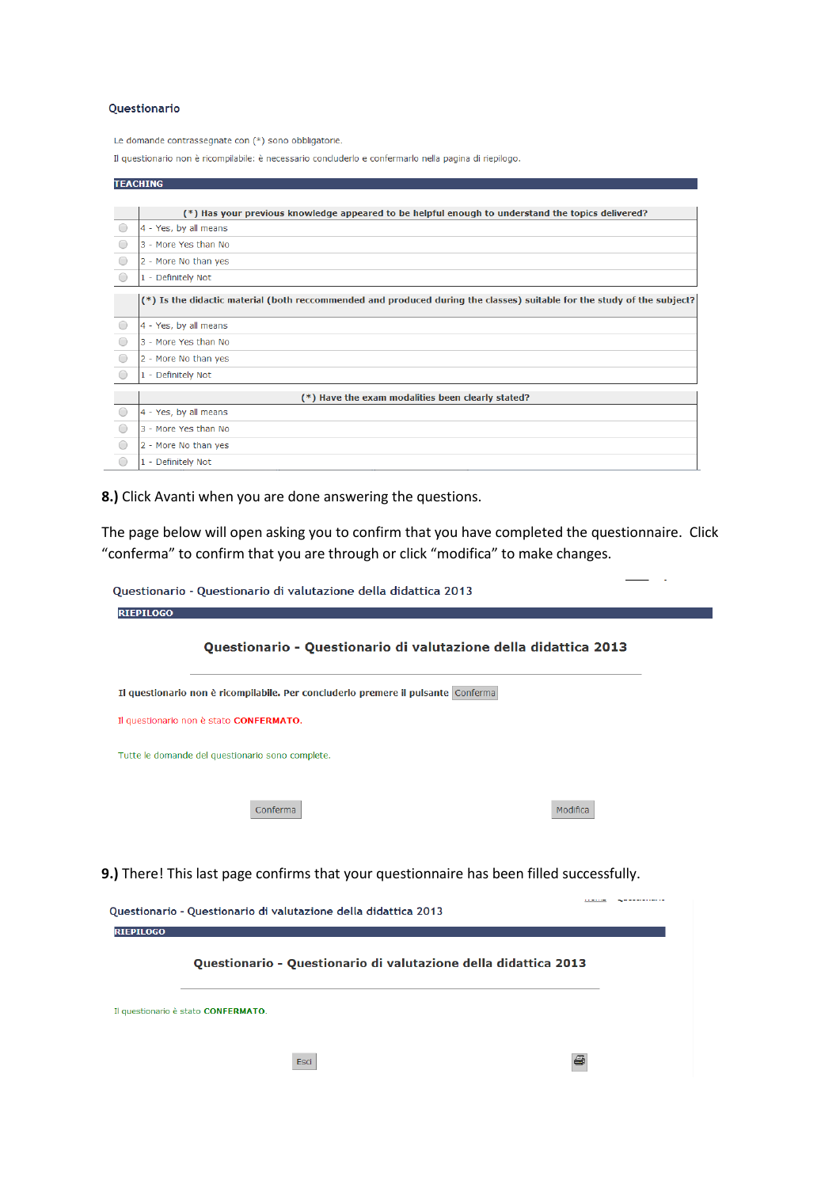#### Questionario

Le domande contrassegnate con (\*) sono obbligatorie.

Il questionario non è ricompilabile: è necessario concluderlo e confermarlo nella pagina di riepilogo.

|            | <b>TEACHING</b>                                                                                                         |
|------------|-------------------------------------------------------------------------------------------------------------------------|
|            |                                                                                                                         |
|            | (*) Has your previous knowledge appeared to be helpful enough to understand the topics delivered?                       |
|            | 4 - Yes, by all means                                                                                                   |
|            | 3 - More Yes than No                                                                                                    |
| $\bigcirc$ | 2 - More No than yes                                                                                                    |
|            | 1 - Definitely Not                                                                                                      |
|            | (*) Is the didactic material (both reccommended and produced during the classes) suitable for the study of the subject? |
|            | 4 - Yes, by all means                                                                                                   |
|            | 3 - More Yes than No                                                                                                    |
|            | 2 - More No than yes                                                                                                    |
|            | 1 - Definitely Not                                                                                                      |
|            | (*) Have the exam modalities been clearly stated?                                                                       |
| $\bigcap$  | 4 - Yes, by all means                                                                                                   |
|            | 3 - More Yes than No                                                                                                    |
|            | 2 - More No than yes                                                                                                    |
|            | 1 - Definitely Not                                                                                                      |

**8.)** Click Avanti when you are done answering the questions.

Esci

The page below will open asking you to confirm that you have completed the questionnaire. Click "conferma" to confirm that you are through or click "modifica" to make changes.